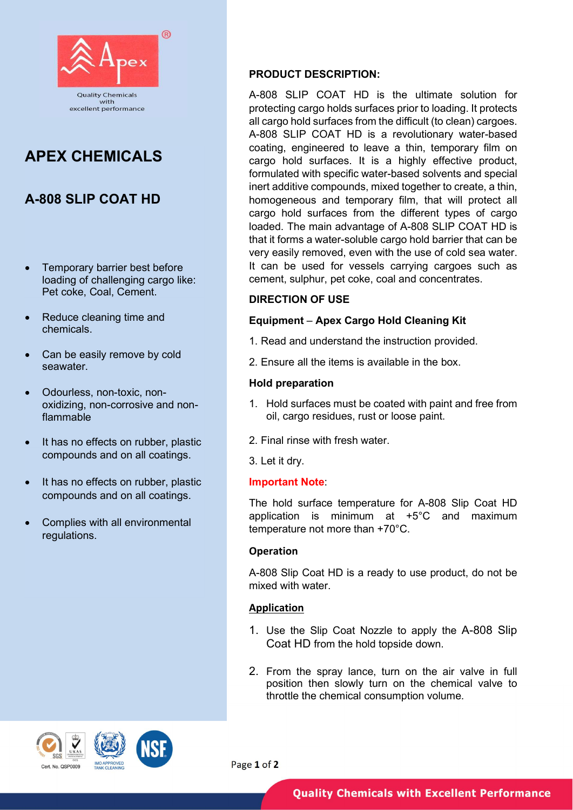

# APEX CHEMICALS

- Temporary barrier best before loading of challenging cargo like: Pet coke, Coal, Cement.
- Reduce cleaning time and chemicals.
- Can be easily remove by cold seawater.
- Odourless, non-toxic, nonoxidizing, non-corrosive and nonflammable
- It has no effects on rubber, plastic compounds and on all coatings.
- It has no effects on rubber, plastic compounds and on all coatings.
- Complies with all environmental regulations.

# PRODUCT DESCRIPTION:

A-808 SLIP COAT HD **homogeneous** and temporary film, that will protect all A-808 SLIP COAT HD is the ultimate solution for protecting cargo holds surfaces prior to loading. It protects all cargo hold surfaces from the difficult (to clean) cargoes. A-808 SLIP COAT HD is a revolutionary water-based coating, engineered to leave a thin, temporary film on cargo hold surfaces. It is a highly effective product, formulated with specific water-based solvents and special inert additive compounds, mixed together to create, a thin, cargo hold surfaces from the different types of cargo loaded. The main advantage of A-808 SLIP COAT HD is that it forms a water-soluble cargo hold barrier that can be very easily removed, even with the use of cold sea water. It can be used for vessels carrying cargoes such as cement, sulphur, pet coke, coal and concentrates.

# DIRECTION OF USE

# Equipment – Apex Cargo Hold Cleaning Kit

- 1. Read and understand the instruction provided.
- 2. Ensure all the items is available in the box.

# Hold preparation

- 1. Hold surfaces must be coated with paint and free from oil, cargo residues, rust or loose paint.
- 2. Final rinse with fresh water.
- 3. Let it dry.

# Important Note:

The hold surface temperature for A-808 Slip Coat HD application is minimum at +5°C and maximum temperature not more than +70°C.

# Operation

A-808 Slip Coat HD is a ready to use product, do not be mixed with water.

# Application

- 1. Use the Slip Coat Nozzle to apply the A-808 Slip Coat HD from the hold topside down.
- 2. From the spray lance, turn on the air valve in full position then slowly turn on the chemical valve to throttle the chemical consumption volume.





Page 1 of 2